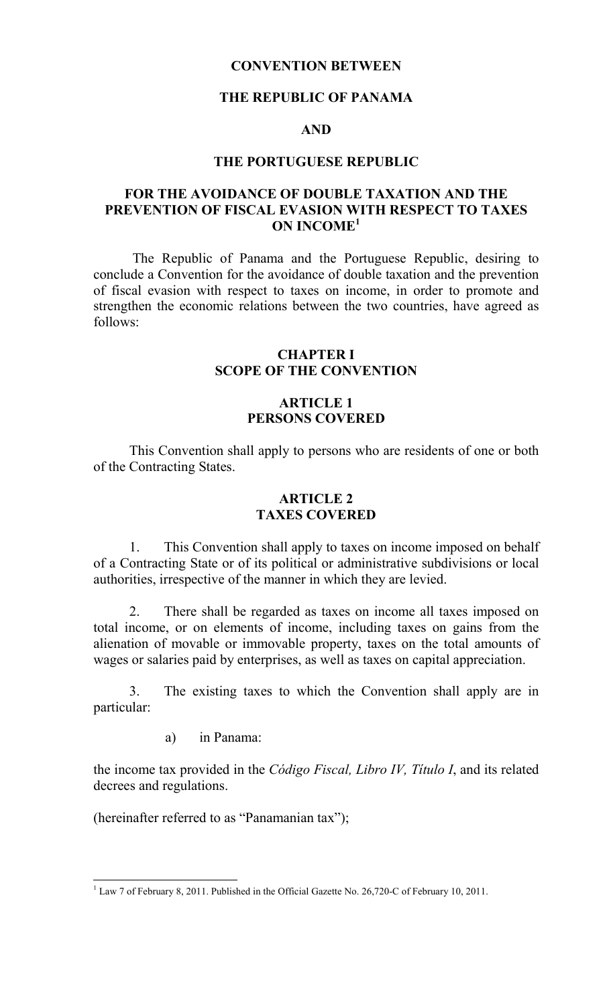#### **CONVENTION BETWEEN**

#### THE REPUBLIC OF PANAMA

# **AND**

#### THE PORTUGUESE REPUBLIC

# FOR THE AVOIDANCE OF DOUBLE TAXATION AND THE PREVENTION OF FISCAL EVASION WITH RESPECT TO TAXES ON INCOME<sup>1</sup>

 The Republic of Panama and the Portuguese Republic, desiring to conclude a Convention for the avoidance of double taxation and the prevention of fiscal evasion with respect to taxes on income, in order to promote and strengthen the economic relations between the two countries, have agreed as follows:

# CHAPTER I **SCOPE OF THE CONVENTION**

# ARTICLE 1 PERSONS COVERED

This Convention shall apply to persons who are residents of one or both of the Contracting States.

## ARTICLE 2 TAXES COVERED

1. This Convention shall apply to taxes on income imposed on behalf of a Contracting State or of its political or administrative subdivisions or local authorities, irrespective of the manner in which they are levied.

2. There shall be regarded as taxes on income all taxes imposed on total income, or on elements of income, including taxes on gains from the alienation of movable or immovable property, taxes on the total amounts of wages or salaries paid by enterprises, as well as taxes on capital appreciation.

3. The existing taxes to which the Convention shall apply are in particular:

a) in Panama:

the income tax provided in the Código Fiscal, Libro IV, Título I, and its related decrees and regulations.

(hereinafter referred to as "Panamanian tax");

 1 Law 7 of February 8, 2011. Published in the Official Gazette No. 26,720-C of February 10, 2011.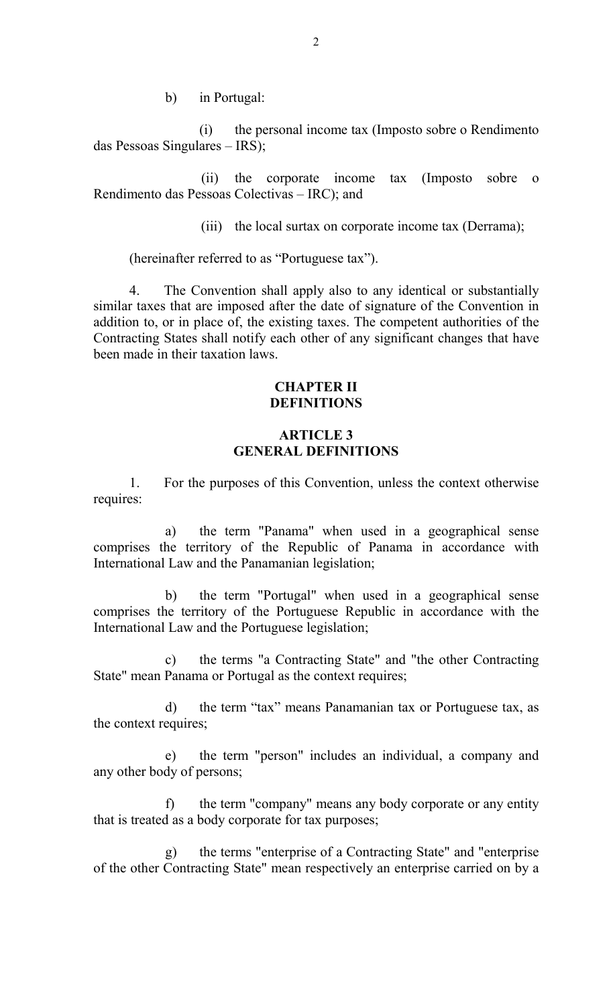b) in Portugal:

 (i) the personal income tax (Imposto sobre o Rendimento das Pessoas Singulares – IRS);

(ii) the corporate income tax (Imposto sobre o Rendimento das Pessoas Colectivas – IRC); and

(iii) the local surtax on corporate income tax (Derrama);

(hereinafter referred to as "Portuguese tax").

4. The Convention shall apply also to any identical or substantially similar taxes that are imposed after the date of signature of the Convention in addition to, or in place of, the existing taxes. The competent authorities of the Contracting States shall notify each other of any significant changes that have been made in their taxation laws.

# CHAPTER II **DEFINITIONS**

# ARTICLE 3 **GENERAL DEFINITIONS**

1. For the purposes of this Convention, unless the context otherwise requires:

a) the term "Panama" when used in a geographical sense comprises the territory of the Republic of Panama in accordance with International Law and the Panamanian legislation;

b) the term "Portugal" when used in a geographical sense comprises the territory of the Portuguese Republic in accordance with the International Law and the Portuguese legislation;

c) the terms "a Contracting State" and "the other Contracting State" mean Panama or Portugal as the context requires;

d) the term "tax" means Panamanian tax or Portuguese tax, as the context requires;

e) the term "person" includes an individual, a company and any other body of persons;

f) the term "company" means any body corporate or any entity that is treated as a body corporate for tax purposes;

g) the terms "enterprise of a Contracting State" and "enterprise of the other Contracting State" mean respectively an enterprise carried on by a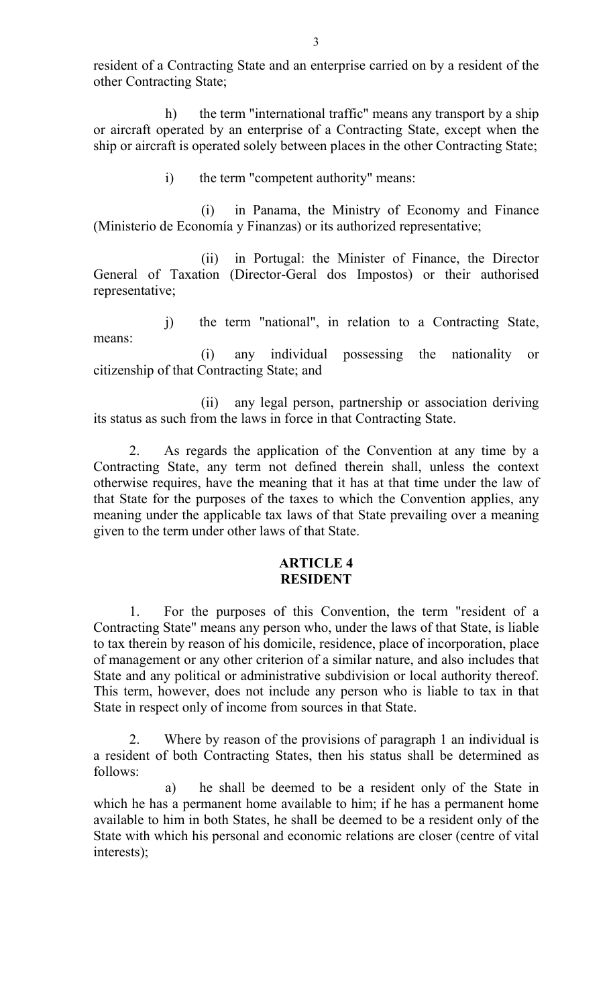resident of a Contracting State and an enterprise carried on by a resident of the other Contracting State;

h) the term "international traffic" means any transport by a ship or aircraft operated by an enterprise of a Contracting State, except when the ship or aircraft is operated solely between places in the other Contracting State;

i) the term "competent authority" means:

(i) in Panama, the Ministry of Economy and Finance (Ministerio de Economía y Finanzas) or its authorized representative;

(ii) in Portugal: the Minister of Finance, the Director General of Taxation (Director-Geral dos Impostos) or their authorised representative;

j) the term "national", in relation to a Contracting State, means:

(i) any individual possessing the nationality or citizenship of that Contracting State; and

(ii) any legal person, partnership or association deriving its status as such from the laws in force in that Contracting State.

2. As regards the application of the Convention at any time by a Contracting State, any term not defined therein shall, unless the context otherwise requires, have the meaning that it has at that time under the law of that State for the purposes of the taxes to which the Convention applies, any meaning under the applicable tax laws of that State prevailing over a meaning given to the term under other laws of that State.

#### ARTICLE 4 **RESIDENT**

1. For the purposes of this Convention, the term "resident of a Contracting State" means any person who, under the laws of that State, is liable to tax therein by reason of his domicile, residence, place of incorporation, place of management or any other criterion of a similar nature, and also includes that State and any political or administrative subdivision or local authority thereof. This term, however, does not include any person who is liable to tax in that State in respect only of income from sources in that State.

2. Where by reason of the provisions of paragraph 1 an individual is a resident of both Contracting States, then his status shall be determined as follows:

a) he shall be deemed to be a resident only of the State in which he has a permanent home available to him; if he has a permanent home available to him in both States, he shall be deemed to be a resident only of the State with which his personal and economic relations are closer (centre of vital interests);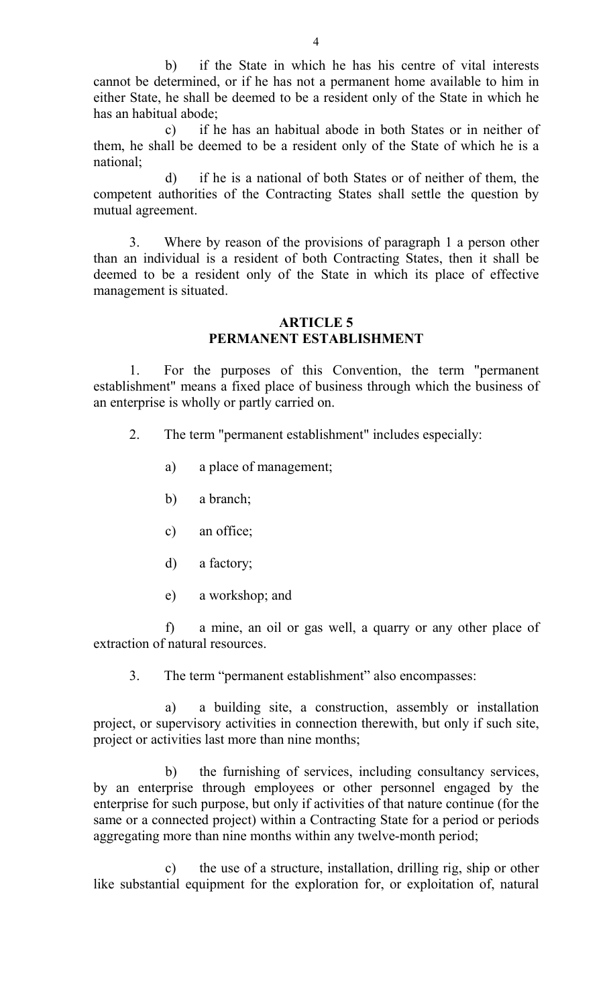b) if the State in which he has his centre of vital interests cannot be determined, or if he has not a permanent home available to him in either State, he shall be deemed to be a resident only of the State in which he has an habitual abode;

c) if he has an habitual abode in both States or in neither of them, he shall be deemed to be a resident only of the State of which he is a national;

d) if he is a national of both States or of neither of them, the competent authorities of the Contracting States shall settle the question by mutual agreement.

3. Where by reason of the provisions of paragraph 1 a person other than an individual is a resident of both Contracting States, then it shall be deemed to be a resident only of the State in which its place of effective management is situated.

# ARTICLE 5 PERMANENT ESTABLISHMENT

1. For the purposes of this Convention, the term "permanent establishment" means a fixed place of business through which the business of an enterprise is wholly or partly carried on.

- 2. The term "permanent establishment" includes especially:
	- a) a place of management;
	- b) a branch;
	- c) an office;
	- d) a factory;
	- e) a workshop; and

f) a mine, an oil or gas well, a quarry or any other place of extraction of natural resources.

3. The term "permanent establishment" also encompasses:

a) a building site, a construction, assembly or installation project, or supervisory activities in connection therewith, but only if such site, project or activities last more than nine months;

b) the furnishing of services, including consultancy services, by an enterprise through employees or other personnel engaged by the enterprise for such purpose, but only if activities of that nature continue (for the same or a connected project) within a Contracting State for a period or periods aggregating more than nine months within any twelve-month period;

c) the use of a structure, installation, drilling rig, ship or other like substantial equipment for the exploration for, or exploitation of, natural

4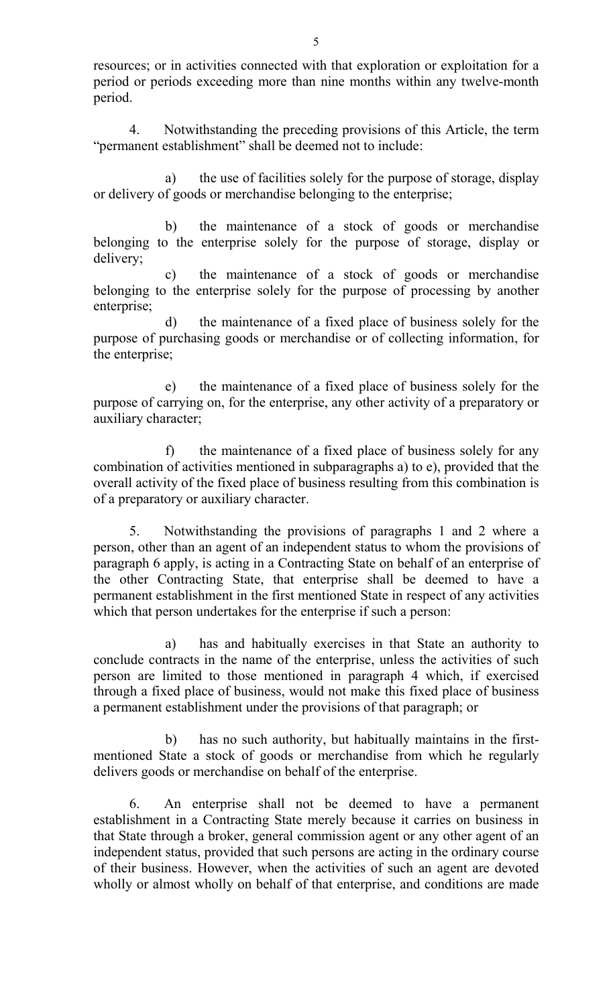resources; or in activities connected with that exploration or exploitation for a period or periods exceeding more than nine months within any twelve-month period.

4. Notwithstanding the preceding provisions of this Article, the term "permanent establishment" shall be deemed not to include:

a) the use of facilities solely for the purpose of storage, display or delivery of goods or merchandise belonging to the enterprise;

b) the maintenance of a stock of goods or merchandise belonging to the enterprise solely for the purpose of storage, display or delivery;

c) the maintenance of a stock of goods or merchandise belonging to the enterprise solely for the purpose of processing by another enterprise;

d) the maintenance of a fixed place of business solely for the purpose of purchasing goods or merchandise or of collecting information, for the enterprise;

e) the maintenance of a fixed place of business solely for the purpose of carrying on, for the enterprise, any other activity of a preparatory or auxiliary character;

f) the maintenance of a fixed place of business solely for any combination of activities mentioned in subparagraphs a) to e), provided that the overall activity of the fixed place of business resulting from this combination is of a preparatory or auxiliary character.

5. Notwithstanding the provisions of paragraphs 1 and 2 where a person, other than an agent of an independent status to whom the provisions of paragraph 6 apply, is acting in a Contracting State on behalf of an enterprise of the other Contracting State, that enterprise shall be deemed to have a permanent establishment in the first mentioned State in respect of any activities which that person undertakes for the enterprise if such a person:

a) has and habitually exercises in that State an authority to conclude contracts in the name of the enterprise, unless the activities of such person are limited to those mentioned in paragraph 4 which, if exercised through a fixed place of business, would not make this fixed place of business a permanent establishment under the provisions of that paragraph; or

b) has no such authority, but habitually maintains in the firstmentioned State a stock of goods or merchandise from which he regularly delivers goods or merchandise on behalf of the enterprise.

6. An enterprise shall not be deemed to have a permanent establishment in a Contracting State merely because it carries on business in that State through a broker, general commission agent or any other agent of an independent status, provided that such persons are acting in the ordinary course of their business. However, when the activities of such an agent are devoted wholly or almost wholly on behalf of that enterprise, and conditions are made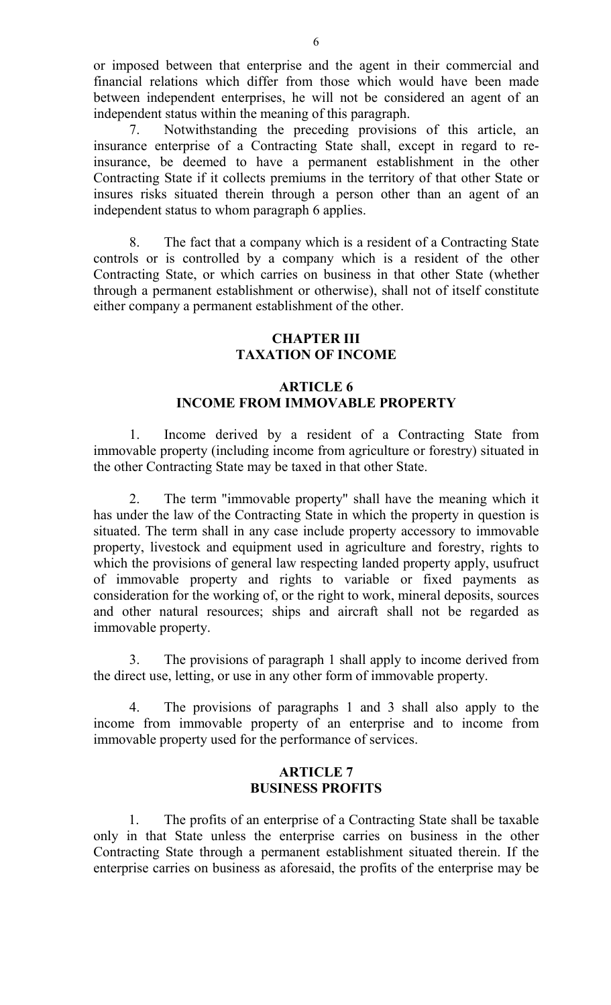or imposed between that enterprise and the agent in their commercial and financial relations which differ from those which would have been made between independent enterprises, he will not be considered an agent of an independent status within the meaning of this paragraph.

7. Notwithstanding the preceding provisions of this article, an insurance enterprise of a Contracting State shall, except in regard to reinsurance, be deemed to have a permanent establishment in the other Contracting State if it collects premiums in the territory of that other State or insures risks situated therein through a person other than an agent of an independent status to whom paragraph 6 applies.

8. The fact that a company which is a resident of a Contracting State controls or is controlled by a company which is a resident of the other Contracting State, or which carries on business in that other State (whether through a permanent establishment or otherwise), shall not of itself constitute either company a permanent establishment of the other.

#### CHAPTER III **TAXATION OF INCOME**

# ARTICLE 6 ICOME FROM IMMOVABLE PROPERTY

1. Income derived by a resident of a Contracting State from immovable property (including income from agriculture or forestry) situated in the other Contracting State may be taxed in that other State.

2. The term "immovable property" shall have the meaning which it has under the law of the Contracting State in which the property in question is situated. The term shall in any case include property accessory to immovable property, livestock and equipment used in agriculture and forestry, rights to which the provisions of general law respecting landed property apply, usufruct of immovable property and rights to variable or fixed payments as consideration for the working of, or the right to work, mineral deposits, sources and other natural resources; ships and aircraft shall not be regarded as immovable property.

3. The provisions of paragraph 1 shall apply to income derived from the direct use, letting, or use in any other form of immovable property.

4. The provisions of paragraphs 1 and 3 shall also apply to the income from immovable property of an enterprise and to income from immovable property used for the performance of services.

# ARTICLE 7 **BUSINESS PROFITS**

 1. The profits of an enterprise of a Contracting State shall be taxable only in that State unless the enterprise carries on business in the other Contracting State through a permanent establishment situated therein. If the enterprise carries on business as aforesaid, the profits of the enterprise may be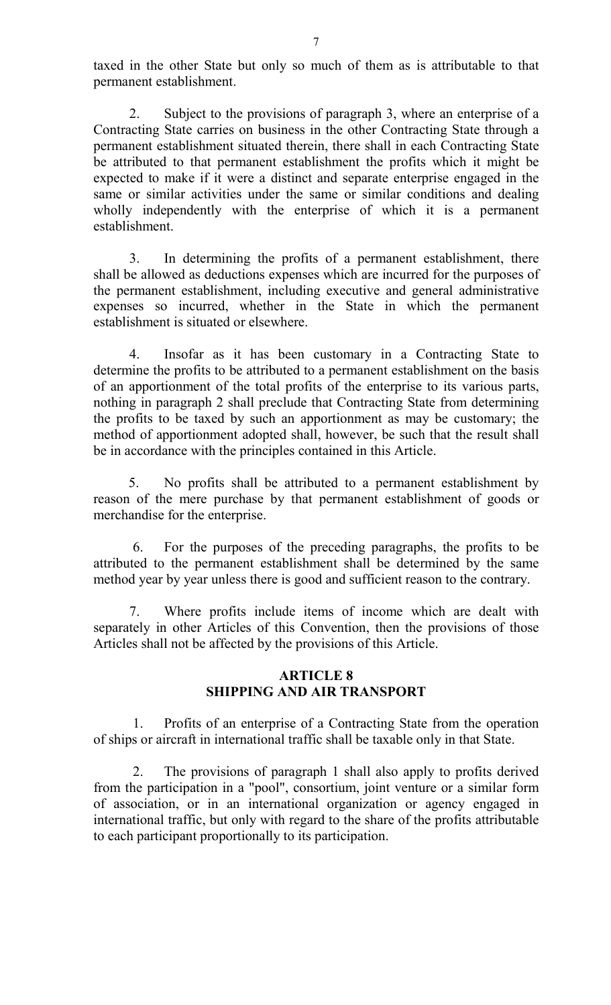taxed in the other State but only so much of them as is attributable to that permanent establishment.

2. Subject to the provisions of paragraph 3, where an enterprise of a Contracting State carries on business in the other Contracting State through a permanent establishment situated therein, there shall in each Contracting State be attributed to that permanent establishment the profits which it might be expected to make if it were a distinct and separate enterprise engaged in the same or similar activities under the same or similar conditions and dealing wholly independently with the enterprise of which it is a permanent establishment.

3. In determining the profits of a permanent establishment, there shall be allowed as deductions expenses which are incurred for the purposes of the permanent establishment, including executive and general administrative expenses so incurred, whether in the State in which the permanent establishment is situated or elsewhere.

4. Insofar as it has been customary in a Contracting State to determine the profits to be attributed to a permanent establishment on the basis of an apportionment of the total profits of the enterprise to its various parts, nothing in paragraph 2 shall preclude that Contracting State from determining the profits to be taxed by such an apportionment as may be customary; the method of apportionment adopted shall, however, be such that the result shall be in accordance with the principles contained in this Article.

 5. No profits shall be attributed to a permanent establishment by reason of the mere purchase by that permanent establishment of goods or merchandise for the enterprise.

 6. For the purposes of the preceding paragraphs, the profits to be attributed to the permanent establishment shall be determined by the same method year by year unless there is good and sufficient reason to the contrary.

7. Where profits include items of income which are dealt with separately in other Articles of this Convention, then the provisions of those Articles shall not be affected by the provisions of this Article.

#### ARTICLE 8 SHIPPING AND AIR TRANSPORT

 1. Profits of an enterprise of a Contracting State from the operation of ships or aircraft in international traffic shall be taxable only in that State.

 2. The provisions of paragraph 1 shall also apply to profits derived from the participation in a "pool", consortium, joint venture or a similar form of association, or in an international organization or agency engaged in international traffic, but only with regard to the share of the profits attributable to each participant proportionally to its participation.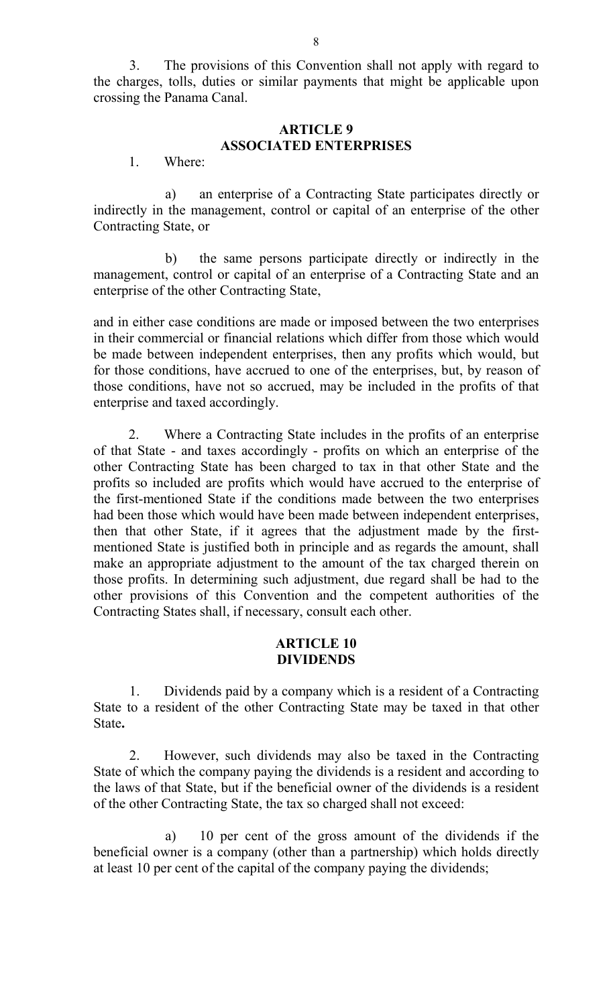3. The provisions of this Convention shall not apply with regard to the charges, tolls, duties or similar payments that might be applicable upon crossing the Panama Canal.

### ARTICLE 9 ASSOCIATED ENTERPRISES

1. Where:

a) an enterprise of a Contracting State participates directly or indirectly in the management, control or capital of an enterprise of the other Contracting State, or

b) the same persons participate directly or indirectly in the management, control or capital of an enterprise of a Contracting State and an enterprise of the other Contracting State,

and in either case conditions are made or imposed between the two enterprises in their commercial or financial relations which differ from those which would be made between independent enterprises, then any profits which would, but for those conditions, have accrued to one of the enterprises, but, by reason of those conditions, have not so accrued, may be included in the profits of that enterprise and taxed accordingly.

 2. Where a Contracting State includes in the profits of an enterprise of that State - and taxes accordingly - profits on which an enterprise of the other Contracting State has been charged to tax in that other State and the profits so included are profits which would have accrued to the enterprise of the first-mentioned State if the conditions made between the two enterprises had been those which would have been made between independent enterprises, then that other State, if it agrees that the adjustment made by the firstmentioned State is justified both in principle and as regards the amount, shall make an appropriate adjustment to the amount of the tax charged therein on those profits. In determining such adjustment, due regard shall be had to the other provisions of this Convention and the competent authorities of the Contracting States shall, if necessary, consult each other.

#### ARTICLE 10 **DIVIDENDS**

1. Dividends paid by a company which is a resident of a Contracting State to a resident of the other Contracting State may be taxed in that other State.

2. However, such dividends may also be taxed in the Contracting State of which the company paying the dividends is a resident and according to the laws of that State, but if the beneficial owner of the dividends is a resident of the other Contracting State, the tax so charged shall not exceed:

a) 10 per cent of the gross amount of the dividends if the beneficial owner is a company (other than a partnership) which holds directly at least 10 per cent of the capital of the company paying the dividends;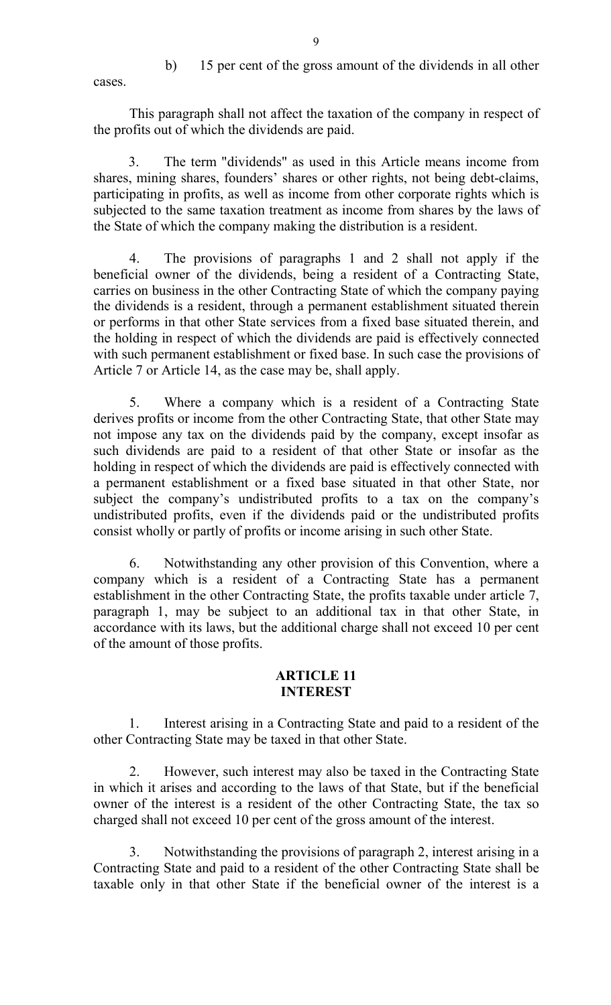b) 15 per cent of the gross amount of the dividends in all other

cases.

This paragraph shall not affect the taxation of the company in respect of the profits out of which the dividends are paid.

 3. The term "dividends" as used in this Article means income from shares, mining shares, founders' shares or other rights, not being debt-claims, participating in profits, as well as income from other corporate rights which is subjected to the same taxation treatment as income from shares by the laws of the State of which the company making the distribution is a resident.

4. The provisions of paragraphs 1 and 2 shall not apply if the beneficial owner of the dividends, being a resident of a Contracting State, carries on business in the other Contracting State of which the company paying the dividends is a resident, through a permanent establishment situated therein or performs in that other State services from a fixed base situated therein, and the holding in respect of which the dividends are paid is effectively connected with such permanent establishment or fixed base. In such case the provisions of Article 7 or Article 14, as the case may be, shall apply.

5. Where a company which is a resident of a Contracting State derives profits or income from the other Contracting State, that other State may not impose any tax on the dividends paid by the company, except insofar as such dividends are paid to a resident of that other State or insofar as the holding in respect of which the dividends are paid is effectively connected with a permanent establishment or a fixed base situated in that other State, nor subject the company's undistributed profits to a tax on the company's undistributed profits, even if the dividends paid or the undistributed profits consist wholly or partly of profits or income arising in such other State.

6. Notwithstanding any other provision of this Convention, where a company which is a resident of a Contracting State has a permanent establishment in the other Contracting State, the profits taxable under article 7, paragraph 1, may be subject to an additional tax in that other State, in accordance with its laws, but the additional charge shall not exceed 10 per cent of the amount of those profits.

#### ARTICLE 11 **INTEREST**

 1. Interest arising in a Contracting State and paid to a resident of the other Contracting State may be taxed in that other State.

2. However, such interest may also be taxed in the Contracting State in which it arises and according to the laws of that State, but if the beneficial owner of the interest is a resident of the other Contracting State, the tax so charged shall not exceed 10 per cent of the gross amount of the interest.

3. Notwithstanding the provisions of paragraph 2, interest arising in a Contracting State and paid to a resident of the other Contracting State shall be taxable only in that other State if the beneficial owner of the interest is a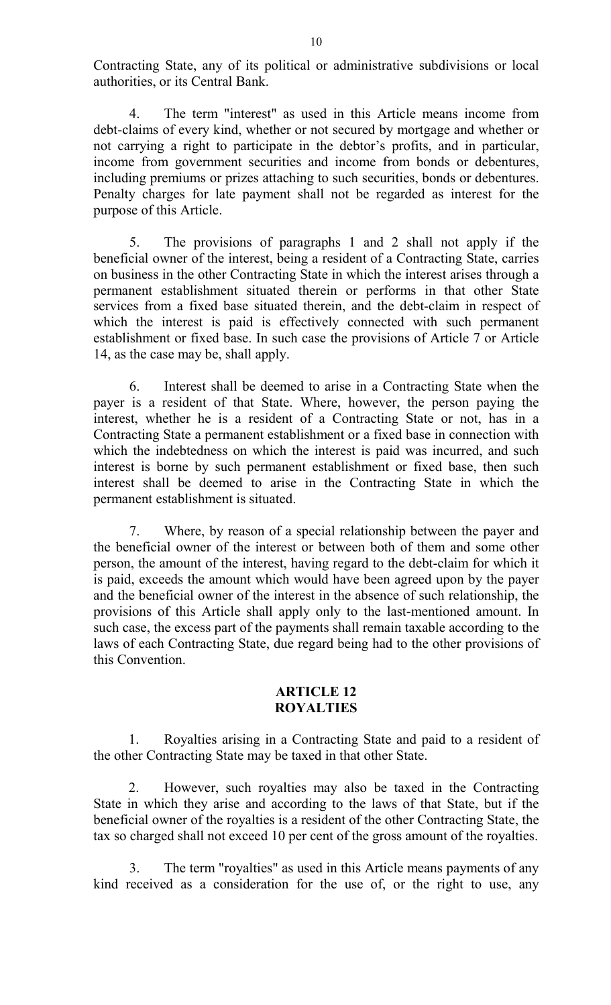Contracting State, any of its political or administrative subdivisions or local authorities, or its Central Bank.

4. The term "interest" as used in this Article means income from debt-claims of every kind, whether or not secured by mortgage and whether or not carrying a right to participate in the debtor's profits, and in particular, income from government securities and income from bonds or debentures, including premiums or prizes attaching to such securities, bonds or debentures. Penalty charges for late payment shall not be regarded as interest for the purpose of this Article.

5. The provisions of paragraphs 1 and 2 shall not apply if the beneficial owner of the interest, being a resident of a Contracting State, carries on business in the other Contracting State in which the interest arises through a permanent establishment situated therein or performs in that other State services from a fixed base situated therein, and the debt-claim in respect of which the interest is paid is effectively connected with such permanent establishment or fixed base. In such case the provisions of Article 7 or Article 14, as the case may be, shall apply.

6. Interest shall be deemed to arise in a Contracting State when the payer is a resident of that State. Where, however, the person paying the interest, whether he is a resident of a Contracting State or not, has in a Contracting State a permanent establishment or a fixed base in connection with which the indebtedness on which the interest is paid was incurred, and such interest is borne by such permanent establishment or fixed base, then such interest shall be deemed to arise in the Contracting State in which the permanent establishment is situated.

7. Where, by reason of a special relationship between the payer and the beneficial owner of the interest or between both of them and some other person, the amount of the interest, having regard to the debt-claim for which it is paid, exceeds the amount which would have been agreed upon by the payer and the beneficial owner of the interest in the absence of such relationship, the provisions of this Article shall apply only to the last-mentioned amount. In such case, the excess part of the payments shall remain taxable according to the laws of each Contracting State, due regard being had to the other provisions of this Convention.

#### ARTICLE 12 **ROYALTIES**

 1. Royalties arising in a Contracting State and paid to a resident of the other Contracting State may be taxed in that other State.

 2. However, such royalties may also be taxed in the Contracting State in which they arise and according to the laws of that State, but if the beneficial owner of the royalties is a resident of the other Contracting State, the tax so charged shall not exceed 10 per cent of the gross amount of the royalties.

3. The term "royalties" as used in this Article means payments of any kind received as a consideration for the use of, or the right to use, any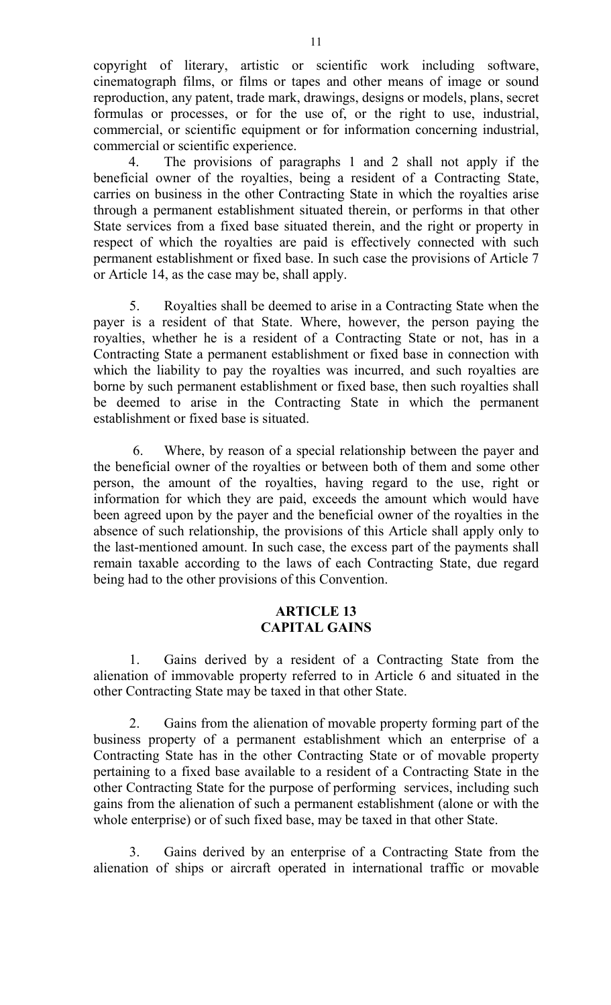copyright of literary, artistic or scientific work including software, cinematograph films, or films or tapes and other means of image or sound reproduction, any patent, trade mark, drawings, designs or models, plans, secret formulas or processes, or for the use of, or the right to use, industrial, commercial, or scientific equipment or for information concerning industrial, commercial or scientific experience.

 4. The provisions of paragraphs 1 and 2 shall not apply if the beneficial owner of the royalties, being a resident of a Contracting State, carries on business in the other Contracting State in which the royalties arise through a permanent establishment situated therein, or performs in that other State services from a fixed base situated therein, and the right or property in respect of which the royalties are paid is effectively connected with such permanent establishment or fixed base. In such case the provisions of Article 7 or Article 14, as the case may be, shall apply.

5. Royalties shall be deemed to arise in a Contracting State when the payer is a resident of that State. Where, however, the person paying the royalties, whether he is a resident of a Contracting State or not, has in a Contracting State a permanent establishment or fixed base in connection with which the liability to pay the royalties was incurred, and such royalties are borne by such permanent establishment or fixed base, then such royalties shall be deemed to arise in the Contracting State in which the permanent establishment or fixed base is situated.

 6. Where, by reason of a special relationship between the payer and the beneficial owner of the royalties or between both of them and some other person, the amount of the royalties, having regard to the use, right or information for which they are paid, exceeds the amount which would have been agreed upon by the payer and the beneficial owner of the royalties in the absence of such relationship, the provisions of this Article shall apply only to the last-mentioned amount. In such case, the excess part of the payments shall remain taxable according to the laws of each Contracting State, due regard being had to the other provisions of this Convention.

### ARTICLE 13 **CAPITAL GAINS**

1. Gains derived by a resident of a Contracting State from the alienation of immovable property referred to in Article 6 and situated in the other Contracting State may be taxed in that other State.

2. Gains from the alienation of movable property forming part of the business property of a permanent establishment which an enterprise of a Contracting State has in the other Contracting State or of movable property pertaining to a fixed base available to a resident of a Contracting State in the other Contracting State for the purpose of performing services, including such gains from the alienation of such a permanent establishment (alone or with the whole enterprise) or of such fixed base, may be taxed in that other State.

3. Gains derived by an enterprise of a Contracting State from the alienation of ships or aircraft operated in international traffic or movable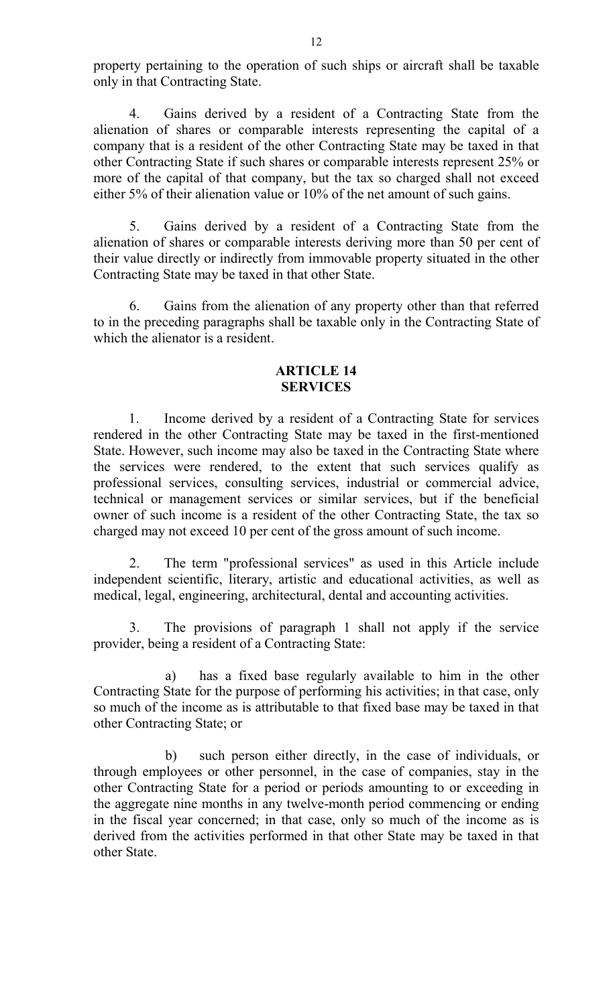property pertaining to the operation of such ships or aircraft shall be taxable only in that Contracting State.

4. Gains derived by a resident of a Contracting State from the alienation of shares or comparable interests representing the capital of a company that is a resident of the other Contracting State may be taxed in that other Contracting State if such shares or comparable interests represent 25% or more of the capital of that company, but the tax so charged shall not exceed either 5% of their alienation value or 10% of the net amount of such gains.

5. Gains derived by a resident of a Contracting State from the alienation of shares or comparable interests deriving more than 50 per cent of their value directly or indirectly from immovable property situated in the other Contracting State may be taxed in that other State.

6. Gains from the alienation of any property other than that referred to in the preceding paragraphs shall be taxable only in the Contracting State of which the alienator is a resident.

#### ARTICLE 14 **SERVICES**

 1. Income derived by a resident of a Contracting State for services rendered in the other Contracting State may be taxed in the first-mentioned State. However, such income may also be taxed in the Contracting State where the services were rendered, to the extent that such services qualify as professional services, consulting services, industrial or commercial advice, technical or management services or similar services, but if the beneficial owner of such income is a resident of the other Contracting State, the tax so charged may not exceed 10 per cent of the gross amount of such income.

2. The term "professional services" as used in this Article include independent scientific, literary, artistic and educational activities, as well as medical, legal, engineering, architectural, dental and accounting activities.

3. The provisions of paragraph 1 shall not apply if the service provider, being a resident of a Contracting State:

a) has a fixed base regularly available to him in the other Contracting State for the purpose of performing his activities; in that case, only so much of the income as is attributable to that fixed base may be taxed in that other Contracting State; or

b) such person either directly, in the case of individuals, or through employees or other personnel, in the case of companies, stay in the other Contracting State for a period or periods amounting to or exceeding in the aggregate nine months in any twelve-month period commencing or ending in the fiscal year concerned; in that case, only so much of the income as is derived from the activities performed in that other State may be taxed in that other State.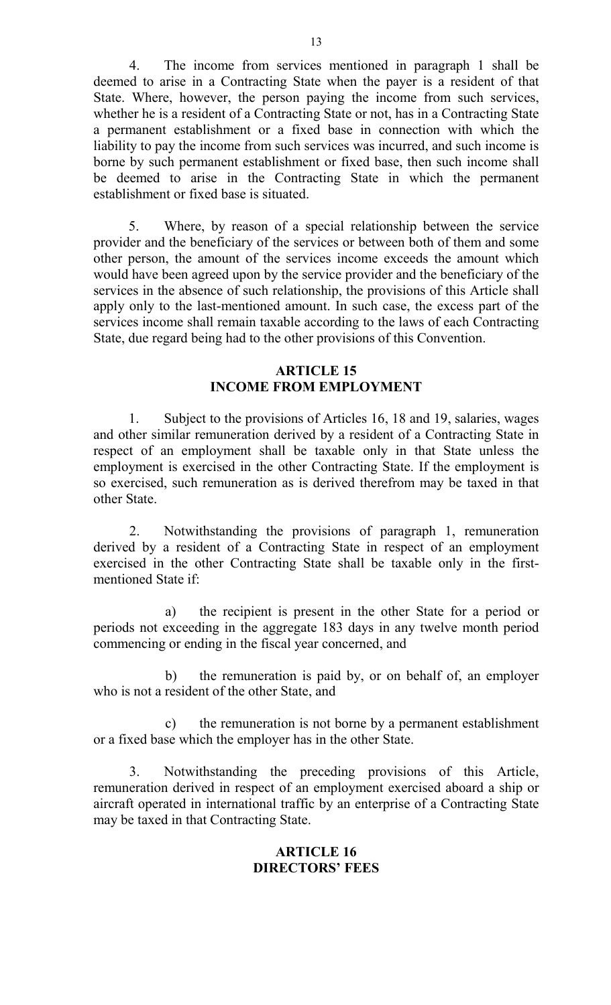4. The income from services mentioned in paragraph 1 shall be deemed to arise in a Contracting State when the payer is a resident of that State. Where, however, the person paying the income from such services, whether he is a resident of a Contracting State or not, has in a Contracting State a permanent establishment or a fixed base in connection with which the liability to pay the income from such services was incurred, and such income is borne by such permanent establishment or fixed base, then such income shall be deemed to arise in the Contracting State in which the permanent establishment or fixed base is situated.

 5. Where, by reason of a special relationship between the service provider and the beneficiary of the services or between both of them and some other person, the amount of the services income exceeds the amount which would have been agreed upon by the service provider and the beneficiary of the services in the absence of such relationship, the provisions of this Article shall apply only to the last-mentioned amount. In such case, the excess part of the services income shall remain taxable according to the laws of each Contracting State, due regard being had to the other provisions of this Convention.

#### ARTICLE 15 INCOME FROM EMPLOYMENT

 1. Subject to the provisions of Articles 16, 18 and 19, salaries, wages and other similar remuneration derived by a resident of a Contracting State in respect of an employment shall be taxable only in that State unless the employment is exercised in the other Contracting State. If the employment is so exercised, such remuneration as is derived therefrom may be taxed in that other State.

2. Notwithstanding the provisions of paragraph 1, remuneration derived by a resident of a Contracting State in respect of an employment exercised in the other Contracting State shall be taxable only in the firstmentioned State if:

a) the recipient is present in the other State for a period or periods not exceeding in the aggregate 183 days in any twelve month period commencing or ending in the fiscal year concerned, and

b) the remuneration is paid by, or on behalf of, an employer who is not a resident of the other State, and

c) the remuneration is not borne by a permanent establishment or a fixed base which the employer has in the other State.

3. Notwithstanding the preceding provisions of this Article, remuneration derived in respect of an employment exercised aboard a ship or aircraft operated in international traffic by an enterprise of a Contracting State may be taxed in that Contracting State.

# ARTICLE 16 DIRECTORS' FEES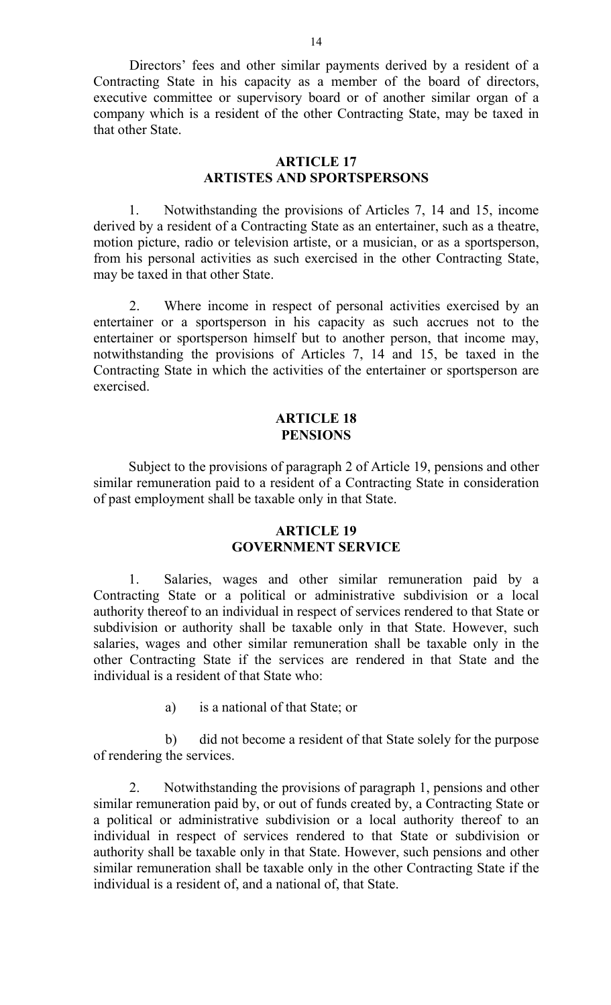Directors' fees and other similar payments derived by a resident of a Contracting State in his capacity as a member of the board of directors, executive committee or supervisory board or of another similar organ of a company which is a resident of the other Contracting State, may be taxed in that other State.

# ARTICLE 17 **ARTISTES AND SPORTSPERSONS**

 1. Notwithstanding the provisions of Articles 7, 14 and 15, income derived by a resident of a Contracting State as an entertainer, such as a theatre, motion picture, radio or television artiste, or a musician, or as a sportsperson, from his personal activities as such exercised in the other Contracting State, may be taxed in that other State.

2. Where income in respect of personal activities exercised by an entertainer or a sportsperson in his capacity as such accrues not to the entertainer or sportsperson himself but to another person, that income may, notwithstanding the provisions of Articles 7, 14 and 15, be taxed in the Contracting State in which the activities of the entertainer or sportsperson are exercised.

#### ARTICLE 18 **PENSIONS**

 Subject to the provisions of paragraph 2 of Article 19, pensions and other similar remuneration paid to a resident of a Contracting State in consideration of past employment shall be taxable only in that State.

## ARTICLE 19 **GOVERNMENT SERVICE**

 1. Salaries, wages and other similar remuneration paid by a Contracting State or a political or administrative subdivision or a local authority thereof to an individual in respect of services rendered to that State or subdivision or authority shall be taxable only in that State. However, such salaries, wages and other similar remuneration shall be taxable only in the other Contracting State if the services are rendered in that State and the individual is a resident of that State who:

a) is a national of that State; or

b) did not become a resident of that State solely for the purpose of rendering the services.

2. Notwithstanding the provisions of paragraph 1, pensions and other similar remuneration paid by, or out of funds created by, a Contracting State or a political or administrative subdivision or a local authority thereof to an individual in respect of services rendered to that State or subdivision or authority shall be taxable only in that State. However, such pensions and other similar remuneration shall be taxable only in the other Contracting State if the individual is a resident of, and a national of, that State.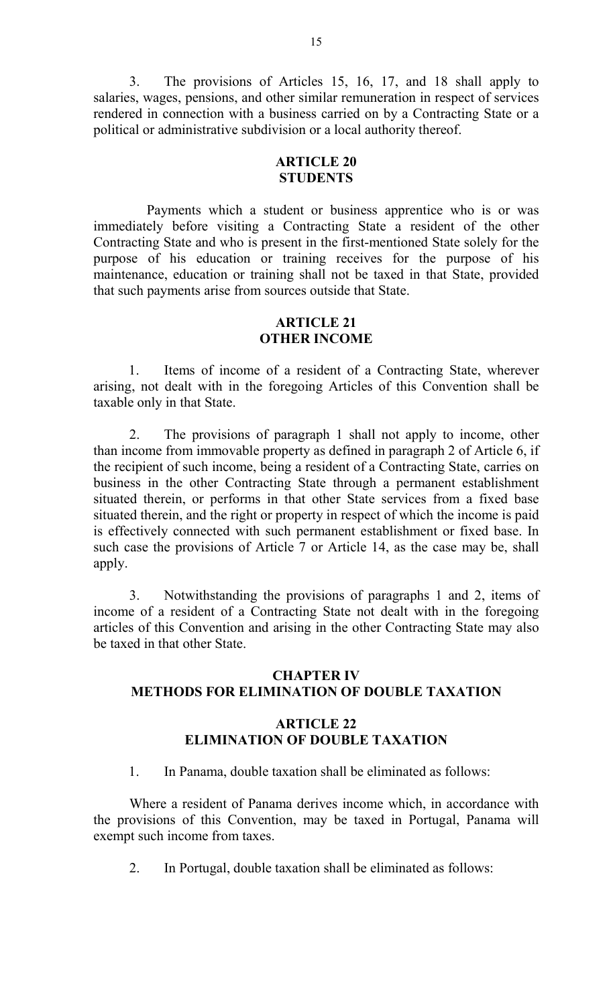3. The provisions of Articles 15, 16, 17, and 18 shall apply to salaries, wages, pensions, and other similar remuneration in respect of services rendered in connection with a business carried on by a Contracting State or a political or administrative subdivision or a local authority thereof.

#### ARTICLE 20 **STUDENTS**

 Payments which a student or business apprentice who is or was immediately before visiting a Contracting State a resident of the other Contracting State and who is present in the first-mentioned State solely for the purpose of his education or training receives for the purpose of his maintenance, education or training shall not be taxed in that State, provided that such payments arise from sources outside that State.

#### ARTICLE 21 **OTHER INCOME**

 1. Items of income of a resident of a Contracting State, wherever arising, not dealt with in the foregoing Articles of this Convention shall be taxable only in that State.

2. The provisions of paragraph 1 shall not apply to income, other than income from immovable property as defined in paragraph 2 of Article 6, if the recipient of such income, being a resident of a Contracting State, carries on business in the other Contracting State through a permanent establishment situated therein, or performs in that other State services from a fixed base situated therein, and the right or property in respect of which the income is paid is effectively connected with such permanent establishment or fixed base. In such case the provisions of Article 7 or Article 14, as the case may be, shall apply.

3. Notwithstanding the provisions of paragraphs 1 and 2, items of income of a resident of a Contracting State not dealt with in the foregoing articles of this Convention and arising in the other Contracting State may also be taxed in that other State.

# CHAPTER IV **METHODS FOR ELIMINATION OF DOUBLE TAXATION**

# ARTICLE 22 ELIMINATION OF DOUBLE TAXATION

1. In Panama, double taxation shall be eliminated as follows:

Where a resident of Panama derives income which, in accordance with the provisions of this Convention, may be taxed in Portugal, Panama will exempt such income from taxes.

2. In Portugal, double taxation shall be eliminated as follows: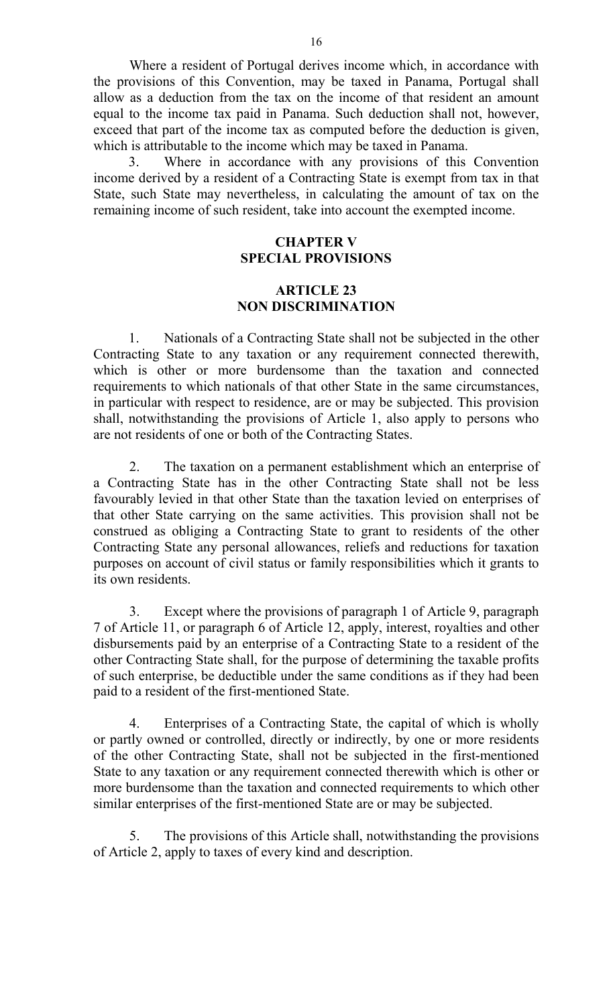Where a resident of Portugal derives income which, in accordance with the provisions of this Convention, may be taxed in Panama, Portugal shall allow as a deduction from the tax on the income of that resident an amount equal to the income tax paid in Panama. Such deduction shall not, however, exceed that part of the income tax as computed before the deduction is given, which is attributable to the income which may be taxed in Panama.

 3. Where in accordance with any provisions of this Convention income derived by a resident of a Contracting State is exempt from tax in that State, such State may nevertheless, in calculating the amount of tax on the remaining income of such resident, take into account the exempted income.

# CHAPTER V SPECIAL PROVISIOS

#### ARTICLE 23 **NON DISCRIMINATION**

 1. Nationals of a Contracting State shall not be subjected in the other Contracting State to any taxation or any requirement connected therewith, which is other or more burdensome than the taxation and connected requirements to which nationals of that other State in the same circumstances, in particular with respect to residence, are or may be subjected. This provision shall, notwithstanding the provisions of Article 1, also apply to persons who are not residents of one or both of the Contracting States.

2. The taxation on a permanent establishment which an enterprise of a Contracting State has in the other Contracting State shall not be less favourably levied in that other State than the taxation levied on enterprises of that other State carrying on the same activities. This provision shall not be construed as obliging a Contracting State to grant to residents of the other Contracting State any personal allowances, reliefs and reductions for taxation purposes on account of civil status or family responsibilities which it grants to its own residents.

3. Except where the provisions of paragraph 1 of Article 9, paragraph 7 of Article 11, or paragraph 6 of Article 12, apply, interest, royalties and other disbursements paid by an enterprise of a Contracting State to a resident of the other Contracting State shall, for the purpose of determining the taxable profits of such enterprise, be deductible under the same conditions as if they had been paid to a resident of the first-mentioned State.

4. Enterprises of a Contracting State, the capital of which is wholly or partly owned or controlled, directly or indirectly, by one or more residents of the other Contracting State, shall not be subjected in the first-mentioned State to any taxation or any requirement connected therewith which is other or more burdensome than the taxation and connected requirements to which other similar enterprises of the first-mentioned State are or may be subjected.

5. The provisions of this Article shall, notwithstanding the provisions of Article 2, apply to taxes of every kind and description.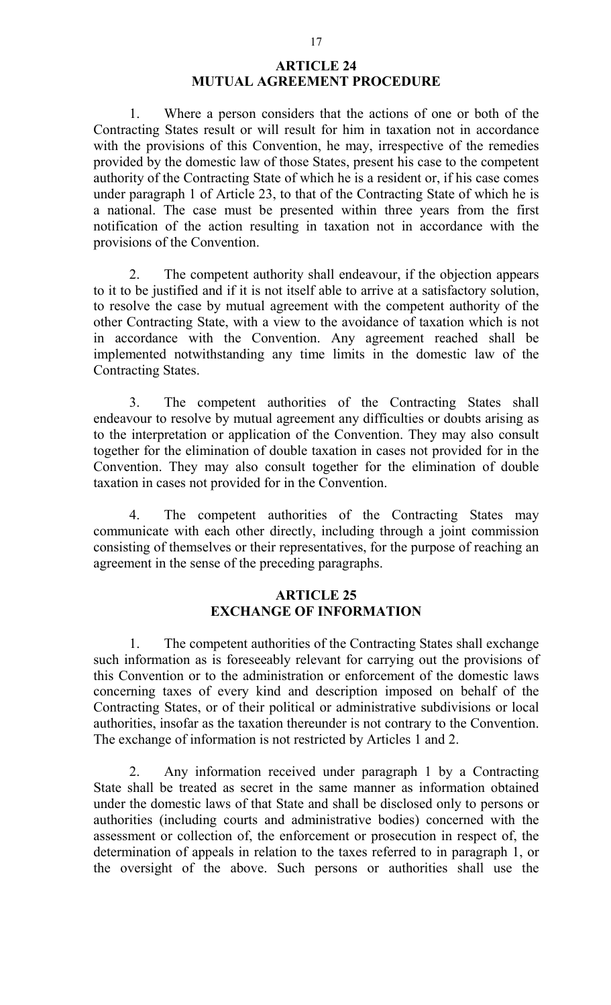# ARTICLE 24 MUTUAL AGREEMENT PROCEDURE

1. Where a person considers that the actions of one or both of the Contracting States result or will result for him in taxation not in accordance with the provisions of this Convention, he may, irrespective of the remedies provided by the domestic law of those States, present his case to the competent authority of the Contracting State of which he is a resident or, if his case comes under paragraph 1 of Article 23, to that of the Contracting State of which he is a national. The case must be presented within three years from the first notification of the action resulting in taxation not in accordance with the provisions of the Convention.

2. The competent authority shall endeavour, if the objection appears to it to be justified and if it is not itself able to arrive at a satisfactory solution, to resolve the case by mutual agreement with the competent authority of the other Contracting State, with a view to the avoidance of taxation which is not in accordance with the Convention. Any agreement reached shall be implemented notwithstanding any time limits in the domestic law of the Contracting States.

3. The competent authorities of the Contracting States shall endeavour to resolve by mutual agreement any difficulties or doubts arising as to the interpretation or application of the Convention. They may also consult together for the elimination of double taxation in cases not provided for in the Convention. They may also consult together for the elimination of double taxation in cases not provided for in the Convention.

4. The competent authorities of the Contracting States may communicate with each other directly, including through a joint commission consisting of themselves or their representatives, for the purpose of reaching an agreement in the sense of the preceding paragraphs.

# ARTICLE 25 EXCHANGE OF INFORMATION

1. The competent authorities of the Contracting States shall exchange such information as is foreseeably relevant for carrying out the provisions of this Convention or to the administration or enforcement of the domestic laws concerning taxes of every kind and description imposed on behalf of the Contracting States, or of their political or administrative subdivisions or local authorities, insofar as the taxation thereunder is not contrary to the Convention. The exchange of information is not restricted by Articles 1 and 2.

2. Any information received under paragraph 1 by a Contracting State shall be treated as secret in the same manner as information obtained under the domestic laws of that State and shall be disclosed only to persons or authorities (including courts and administrative bodies) concerned with the assessment or collection of, the enforcement or prosecution in respect of, the determination of appeals in relation to the taxes referred to in paragraph 1, or the oversight of the above. Such persons or authorities shall use the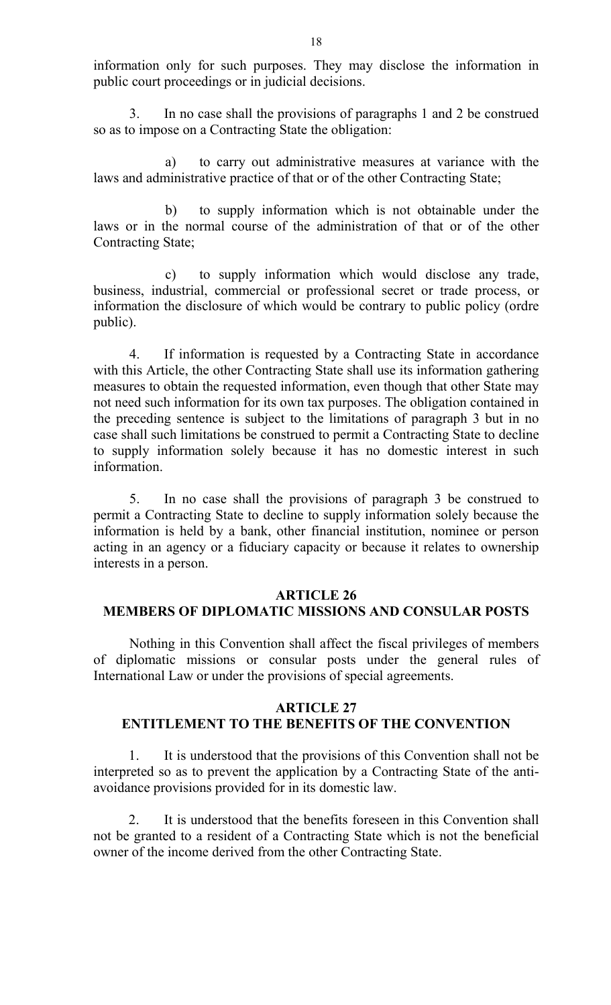information only for such purposes. They may disclose the information in public court proceedings or in judicial decisions.

3. In no case shall the provisions of paragraphs 1 and 2 be construed so as to impose on a Contracting State the obligation:

a) to carry out administrative measures at variance with the laws and administrative practice of that or of the other Contracting State;

b) to supply information which is not obtainable under the laws or in the normal course of the administration of that or of the other Contracting State;

c) to supply information which would disclose any trade, business, industrial, commercial or professional secret or trade process, or information the disclosure of which would be contrary to public policy (ordre public).

4. If information is requested by a Contracting State in accordance with this Article, the other Contracting State shall use its information gathering measures to obtain the requested information, even though that other State may not need such information for its own tax purposes. The obligation contained in the preceding sentence is subject to the limitations of paragraph 3 but in no case shall such limitations be construed to permit a Contracting State to decline to supply information solely because it has no domestic interest in such information.

5. In no case shall the provisions of paragraph 3 be construed to permit a Contracting State to decline to supply information solely because the information is held by a bank, other financial institution, nominee or person acting in an agency or a fiduciary capacity or because it relates to ownership interests in a person.

#### ARTICLE 26

# MEMBERS OF DIPLOMATIC MISSIONS AND CONSULAR POSTS

Nothing in this Convention shall affect the fiscal privileges of members of diplomatic missions or consular posts under the general rules of International Law or under the provisions of special agreements.

#### ARTICLE 27 ENTITLEMENT TO THE BENEFITS OF THE CONVENTION

 1. It is understood that the provisions of this Convention shall not be interpreted so as to prevent the application by a Contracting State of the antiavoidance provisions provided for in its domestic law.

 2. It is understood that the benefits foreseen in this Convention shall not be granted to a resident of a Contracting State which is not the beneficial owner of the income derived from the other Contracting State.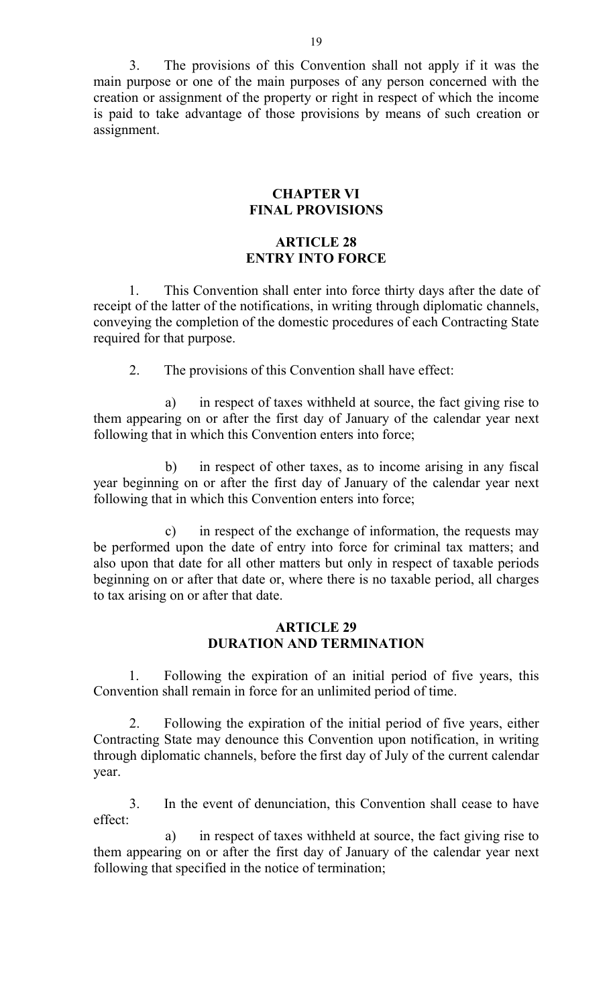3. The provisions of this Convention shall not apply if it was the main purpose or one of the main purposes of any person concerned with the creation or assignment of the property or right in respect of which the income is paid to take advantage of those provisions by means of such creation or assignment.

#### CHAPTER VI FINAL PROVISIONS

# ARTICLE 28 ENTRY INTO FORCE

 1. This Convention shall enter into force thirty days after the date of receipt of the latter of the notifications, in writing through diplomatic channels, conveying the completion of the domestic procedures of each Contracting State required for that purpose.

2. The provisions of this Convention shall have effect:

a) in respect of taxes withheld at source, the fact giving rise to them appearing on or after the first day of January of the calendar year next following that in which this Convention enters into force;

b) in respect of other taxes, as to income arising in any fiscal year beginning on or after the first day of January of the calendar year next following that in which this Convention enters into force;

c) in respect of the exchange of information, the requests may be performed upon the date of entry into force for criminal tax matters; and also upon that date for all other matters but only in respect of taxable periods beginning on or after that date or, where there is no taxable period, all charges to tax arising on or after that date.

# ARTICLE 29 DURATION AND TERMINATION

 1. Following the expiration of an initial period of five years, this Convention shall remain in force for an unlimited period of time.

2. Following the expiration of the initial period of five years, either Contracting State may denounce this Convention upon notification, in writing through diplomatic channels, before the first day of July of the current calendar year.

3. In the event of denunciation, this Convention shall cease to have effect:

a) in respect of taxes withheld at source, the fact giving rise to them appearing on or after the first day of January of the calendar year next following that specified in the notice of termination;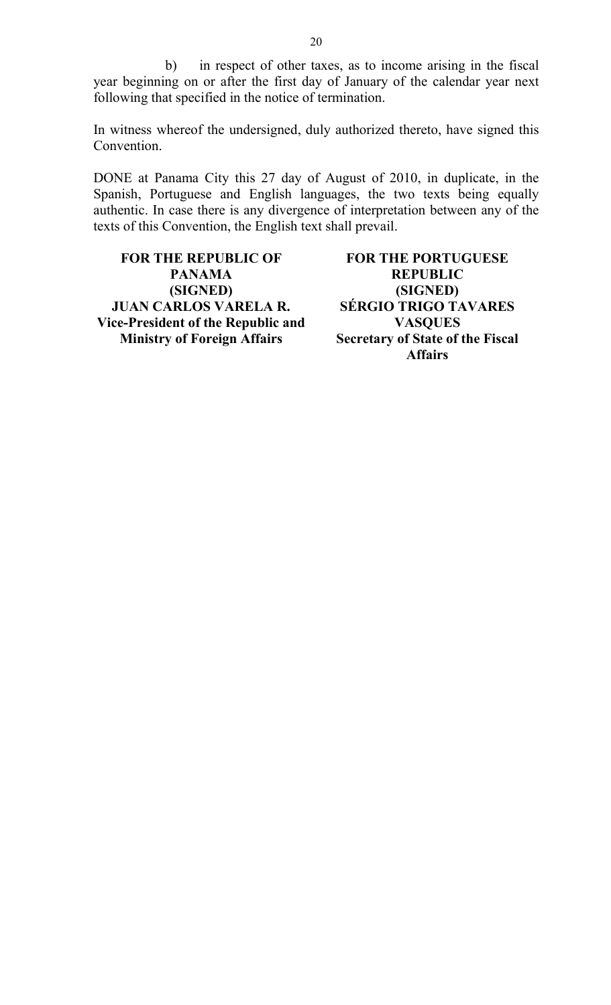b) in respect of other taxes, as to income arising in the fiscal year beginning on or after the first day of January of the calendar year next following that specified in the notice of termination.

In witness whereof the undersigned, duly authorized thereto, have signed this Convention.

DONE at Panama City this 27 day of August of 2010, in duplicate, in the Spanish, Portuguese and English languages, the two texts being equally authentic. In case there is any divergence of interpretation between any of the texts of this Convention, the English text shall prevail.

FOR THE REPUBLIC OF PANAMA (SIGNED) **JUAN CARLOS VARELA R.** Vice-President of the Republic and Ministry of Foreign Affairs

FOR THE PORTUGUESE REPUBLIC (SIGNED) SÉRGIO TRIGO TAVARES VASQUES Secretary of State of the Fiscal Affairs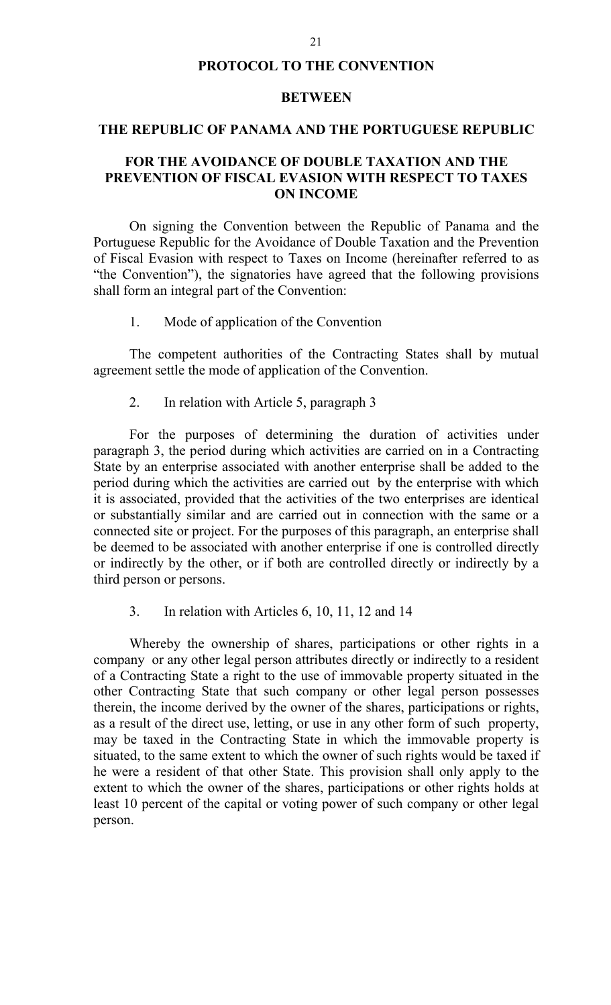#### PROTOCOL TO THE CONVENTION

#### **BETWEEN**

#### THE REPUBLIC OF PANAMA AND THE PORTUGUESE REPUBLIC

# FOR THE AVOIDANCE OF DOUBLE TAXATION AND THE PREVENTION OF FISCAL EVASION WITH RESPECT TO TAXES **ON INCOME**

On signing the Convention between the Republic of Panama and the Portuguese Republic for the Avoidance of Double Taxation and the Prevention of Fiscal Evasion with respect to Taxes on Income (hereinafter referred to as "the Convention"), the signatories have agreed that the following provisions shall form an integral part of the Convention:

1. Mode of application of the Convention

The competent authorities of the Contracting States shall by mutual agreement settle the mode of application of the Convention.

2. In relation with Article 5, paragraph 3

For the purposes of determining the duration of activities under paragraph 3, the period during which activities are carried on in a Contracting State by an enterprise associated with another enterprise shall be added to the period during which the activities are carried out by the enterprise with which it is associated, provided that the activities of the two enterprises are identical or substantially similar and are carried out in connection with the same or a connected site or project. For the purposes of this paragraph, an enterprise shall be deemed to be associated with another enterprise if one is controlled directly or indirectly by the other, or if both are controlled directly or indirectly by a third person or persons.

3. In relation with Articles 6, 10, 11, 12 and 14

Whereby the ownership of shares, participations or other rights in a company or any other legal person attributes directly or indirectly to a resident of a Contracting State a right to the use of immovable property situated in the other Contracting State that such company or other legal person possesses therein, the income derived by the owner of the shares, participations or rights, as a result of the direct use, letting, or use in any other form of such property, may be taxed in the Contracting State in which the immovable property is situated, to the same extent to which the owner of such rights would be taxed if he were a resident of that other State. This provision shall only apply to the extent to which the owner of the shares, participations or other rights holds at least 10 percent of the capital or voting power of such company or other legal person.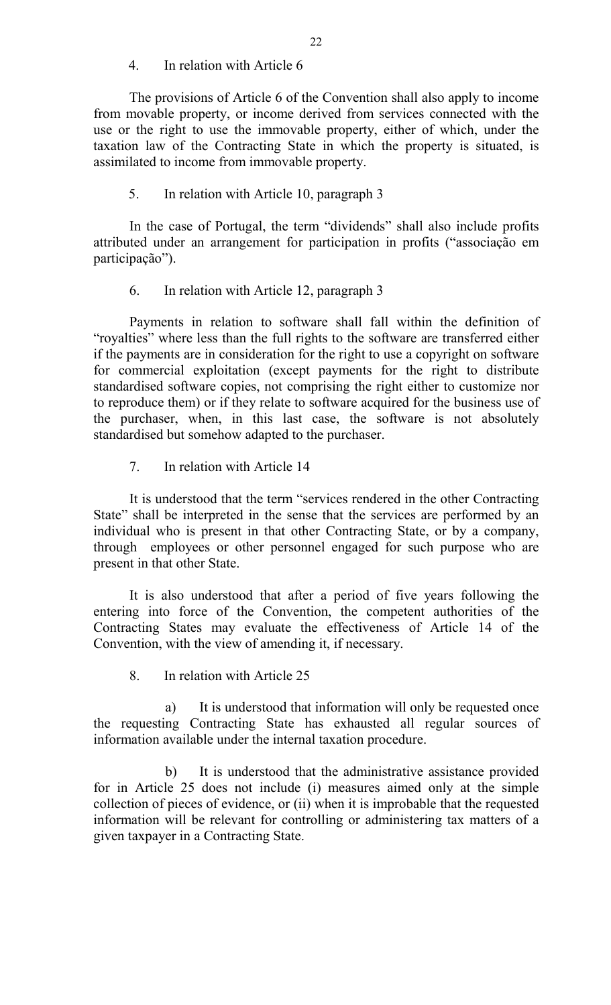#### 4. In relation with Article 6

The provisions of Article 6 of the Convention shall also apply to income from movable property, or income derived from services connected with the use or the right to use the immovable property, either of which, under the taxation law of the Contracting State in which the property is situated, is assimilated to income from immovable property.

# 5. In relation with Article 10, paragraph 3

In the case of Portugal, the term "dividends" shall also include profits attributed under an arrangement for participation in profits ("associação em participação").

# 6. In relation with Article 12, paragraph 3

Payments in relation to software shall fall within the definition of "royalties" where less than the full rights to the software are transferred either if the payments are in consideration for the right to use a copyright on software for commercial exploitation (except payments for the right to distribute standardised software copies, not comprising the right either to customize nor to reproduce them) or if they relate to software acquired for the business use of the purchaser, when, in this last case, the software is not absolutely standardised but somehow adapted to the purchaser.

# 7. In relation with Article 14

It is understood that the term "services rendered in the other Contracting State" shall be interpreted in the sense that the services are performed by an individual who is present in that other Contracting State, or by a company, through employees or other personnel engaged for such purpose who are present in that other State.

It is also understood that after a period of five years following the entering into force of the Convention, the competent authorities of the Contracting States may evaluate the effectiveness of Article 14 of the Convention, with the view of amending it, if necessary.

8. In relation with Article 25

a) It is understood that information will only be requested once the requesting Contracting State has exhausted all regular sources of information available under the internal taxation procedure.

b) It is understood that the administrative assistance provided for in Article 25 does not include (i) measures aimed only at the simple collection of pieces of evidence, or (ii) when it is improbable that the requested information will be relevant for controlling or administering tax matters of a given taxpayer in a Contracting State.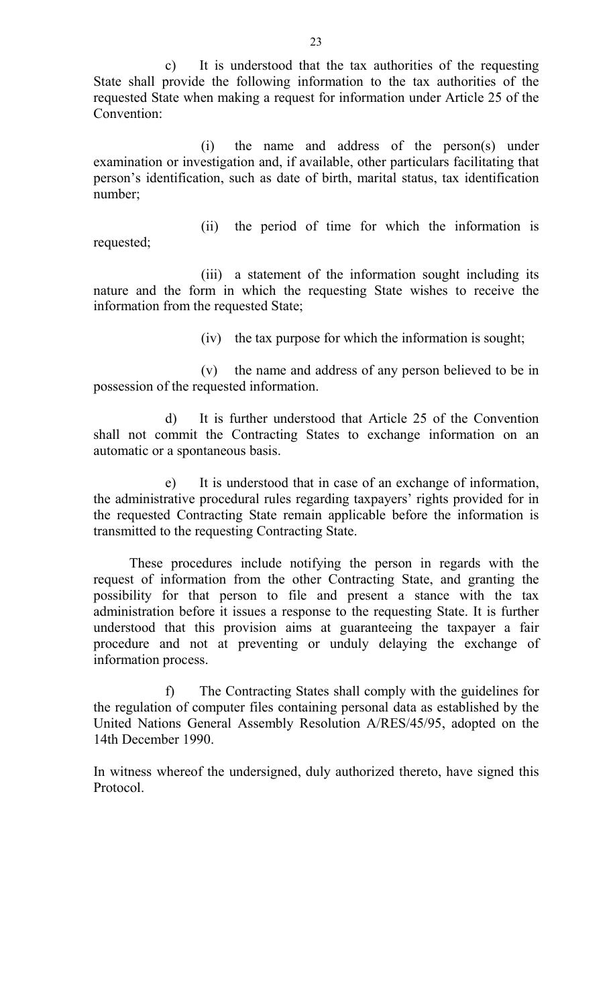c) It is understood that the tax authorities of the requesting State shall provide the following information to the tax authorities of the requested State when making a request for information under Article 25 of the Convention:

(i) the name and address of the person(s) under examination or investigation and, if available, other particulars facilitating that person's identification, such as date of birth, marital status, tax identification number;

requested;

(ii) the period of time for which the information is

(iii) a statement of the information sought including its nature and the form in which the requesting State wishes to receive the information from the requested State;

(iv) the tax purpose for which the information is sought;

(v) the name and address of any person believed to be in possession of the requested information.

d) It is further understood that Article 25 of the Convention shall not commit the Contracting States to exchange information on an automatic or a spontaneous basis.

e) It is understood that in case of an exchange of information, the administrative procedural rules regarding taxpayers' rights provided for in the requested Contracting State remain applicable before the information is transmitted to the requesting Contracting State.

These procedures include notifying the person in regards with the request of information from the other Contracting State, and granting the possibility for that person to file and present a stance with the tax administration before it issues a response to the requesting State. It is further understood that this provision aims at guaranteeing the taxpayer a fair procedure and not at preventing or unduly delaying the exchange of information process.

f) The Contracting States shall comply with the guidelines for the regulation of computer files containing personal data as established by the United Nations General Assembly Resolution A/RES/45/95, adopted on the 14th December 1990.

In witness whereof the undersigned, duly authorized thereto, have signed this Protocol.